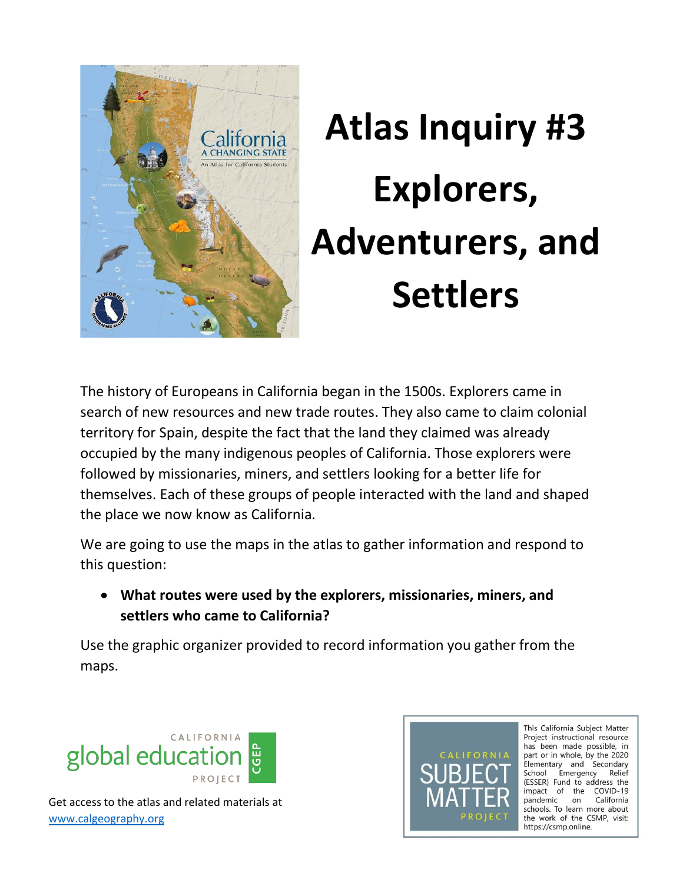

## **Atlas Inquiry #3 Explorers, Adventurers, and Settlers**

The history of Europeans in California began in the 1500s. Explorers came in search of new resources and new trade routes. They also came to claim colonial territory for Spain, despite the fact that the land they claimed was already occupied by the many indigenous peoples of California. Those explorers were followed by missionaries, miners, and settlers looking for a better life for themselves. Each of these groups of people interacted with the land and shaped the place we now know as California.

We are going to use the maps in the atlas to gather information and respond to this question:

 **What routes were used by the explorers, missionaries, miners, and settlers who came to California?** 

Use the graphic organizer provided to record information you gather from the maps.





This California Subject Matter Project instructional resource has been made possible, in part or in whole, by the 2020 Elementary and Secondary School Emergency Relief (ESSER) Fund to address the impact of the COVID-19 pandemic on California schools. To learn more about the work of the CSMP, visit: https://csmp.online.

Get access to the atlas and related materials at [www.calgeography.org](http://www.calgeography.org/)